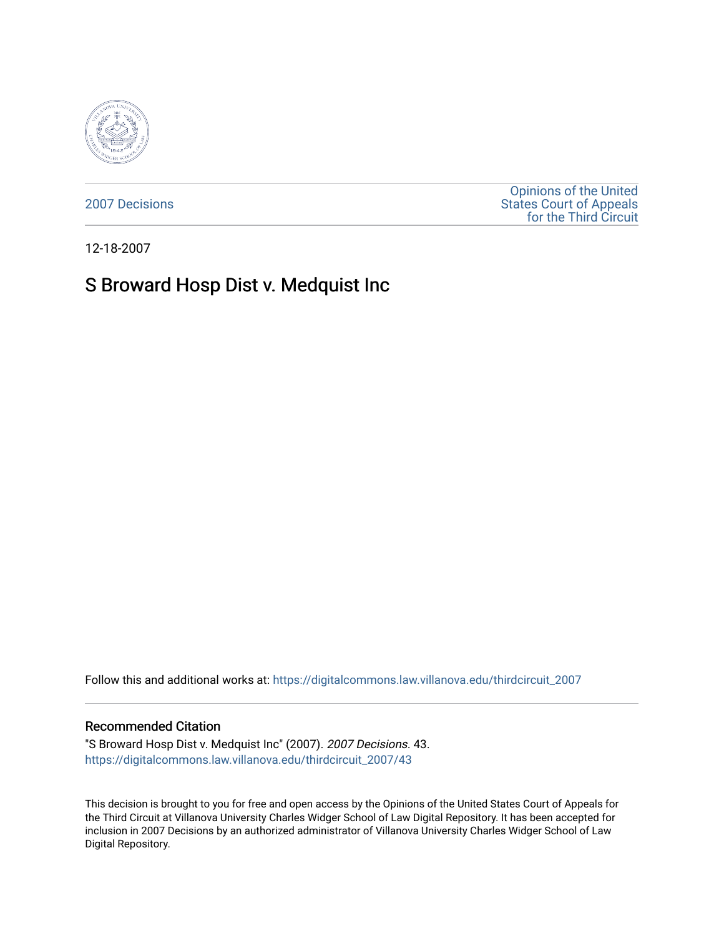

[2007 Decisions](https://digitalcommons.law.villanova.edu/thirdcircuit_2007)

[Opinions of the United](https://digitalcommons.law.villanova.edu/thirdcircuit)  [States Court of Appeals](https://digitalcommons.law.villanova.edu/thirdcircuit)  [for the Third Circuit](https://digitalcommons.law.villanova.edu/thirdcircuit) 

12-18-2007

# S Broward Hosp Dist v. Medquist Inc

Follow this and additional works at: [https://digitalcommons.law.villanova.edu/thirdcircuit\\_2007](https://digitalcommons.law.villanova.edu/thirdcircuit_2007?utm_source=digitalcommons.law.villanova.edu%2Fthirdcircuit_2007%2F43&utm_medium=PDF&utm_campaign=PDFCoverPages) 

#### Recommended Citation

"S Broward Hosp Dist v. Medquist Inc" (2007). 2007 Decisions. 43. [https://digitalcommons.law.villanova.edu/thirdcircuit\\_2007/43](https://digitalcommons.law.villanova.edu/thirdcircuit_2007/43?utm_source=digitalcommons.law.villanova.edu%2Fthirdcircuit_2007%2F43&utm_medium=PDF&utm_campaign=PDFCoverPages)

This decision is brought to you for free and open access by the Opinions of the United States Court of Appeals for the Third Circuit at Villanova University Charles Widger School of Law Digital Repository. It has been accepted for inclusion in 2007 Decisions by an authorized administrator of Villanova University Charles Widger School of Law Digital Repository.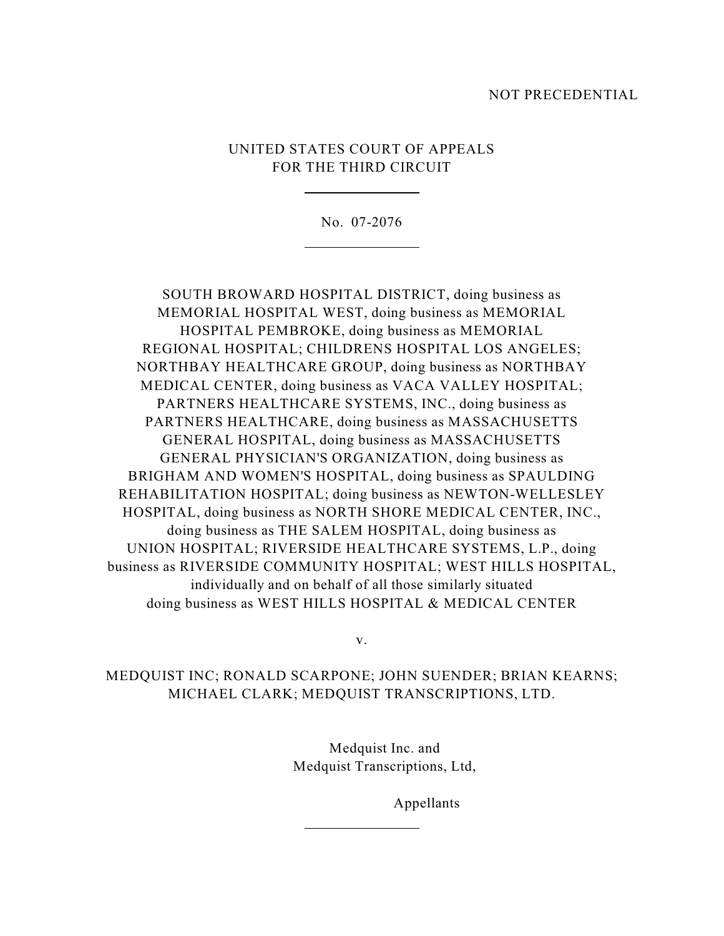### NOT PRECEDENTIAL

## UNITED STATES COURT OF APPEALS FOR THE THIRD CIRCUIT

 $\overline{a}$ 

l

No. 07-2076

SOUTH BROWARD HOSPITAL DISTRICT, doing business as MEMORIAL HOSPITAL WEST, doing business as MEMORIAL HOSPITAL PEMBROKE, doing business as MEMORIAL REGIONAL HOSPITAL; CHILDRENS HOSPITAL LOS ANGELES; NORTHBAY HEALTHCARE GROUP, doing business as NORTHBAY MEDICAL CENTER, doing business as VACA VALLEY HOSPITAL; PARTNERS HEALTHCARE SYSTEMS, INC., doing business as PARTNERS HEALTHCARE, doing business as MASSACHUSETTS GENERAL HOSPITAL, doing business as MASSACHUSETTS GENERAL PHYSICIAN'S ORGANIZATION, doing business as BRIGHAM AND WOMEN'S HOSPITAL, doing business as SPAULDING REHABILITATION HOSPITAL; doing business as NEWTON-WELLESLEY HOSPITAL, doing business as NORTH SHORE MEDICAL CENTER, INC., doing business as THE SALEM HOSPITAL, doing business as UNION HOSPITAL; RIVERSIDE HEALTHCARE SYSTEMS, L.P., doing business as RIVERSIDE COMMUNITY HOSPITAL; WEST HILLS HOSPITAL, individually and on behalf of all those similarly situated doing business as WEST HILLS HOSPITAL & MEDICAL CENTER

v.

## MEDQUIST INC; RONALD SCARPONE; JOHN SUENDER; BRIAN KEARNS; MICHAEL CLARK; MEDQUIST TRANSCRIPTIONS, LTD.

l

 Medquist Inc. and Medquist Transcriptions, Ltd,

Appellants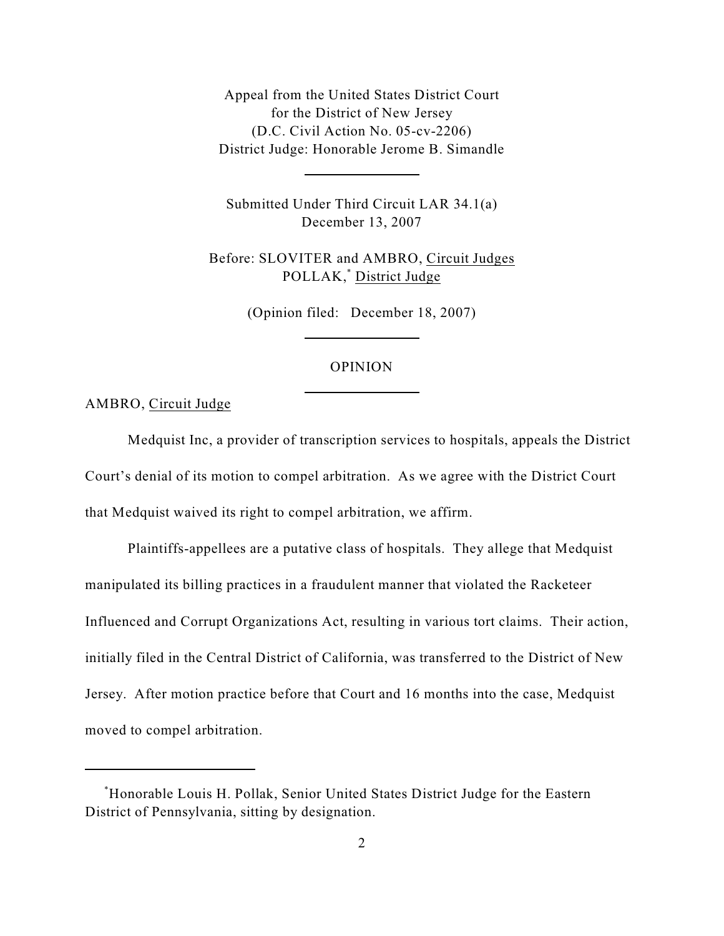Appeal from the United States District Court for the District of New Jersey (D.C. Civil Action No. 05-cv-2206) District Judge: Honorable Jerome B. Simandle

 $\overline{a}$ 

l

l

Submitted Under Third Circuit LAR 34.1(a) December 13, 2007

Before: SLOVITER and AMBRO, Circuit Judges POLLAK,<sup>\*</sup> District Judge

(Opinion filed: December 18, 2007)

#### OPINION

AMBRO, Circuit Judge

Medquist Inc, a provider of transcription services to hospitals, appeals the District Court's denial of its motion to compel arbitration. As we agree with the District Court that Medquist waived its right to compel arbitration, we affirm.

Plaintiffs-appellees are a putative class of hospitals. They allege that Medquist manipulated its billing practices in a fraudulent manner that violated the Racketeer Influenced and Corrupt Organizations Act, resulting in various tort claims. Their action, initially filed in the Central District of California, was transferred to the District of New Jersey. After motion practice before that Court and 16 months into the case, Medquist moved to compel arbitration.

Honorable Louis H. Pollak, Senior United States District Judge for the Eastern \* District of Pennsylvania, sitting by designation.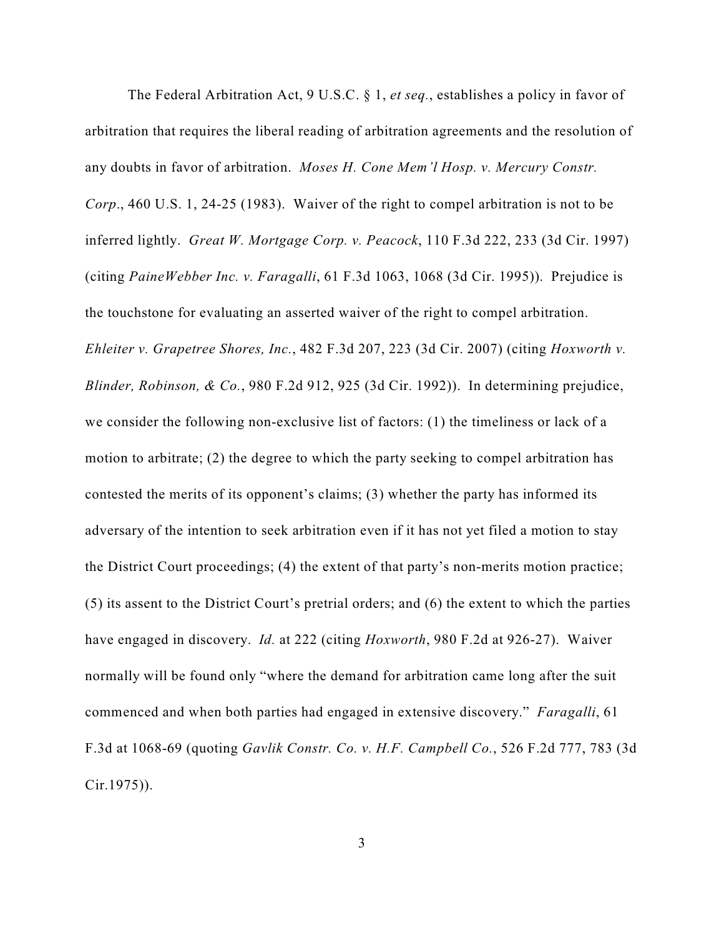The Federal Arbitration Act, 9 U.S.C. § 1, *et seq.*, establishes a policy in favor of arbitration that requires the liberal reading of arbitration agreements and the resolution of any doubts in favor of arbitration. *Moses H. Cone Mem'l Hosp. v. Mercury Constr. Corp*., 460 U.S. 1, 24-25 (1983). Waiver of the right to compel arbitration is not to be inferred lightly. *Great W. Mortgage Corp. v. Peacock*, 110 F.3d 222, 233 (3d Cir. 1997) (citing *PaineWebber Inc. v. Faragalli*, 61 F.3d 1063, 1068 (3d Cir. 1995)). Prejudice is the touchstone for evaluating an asserted waiver of the right to compel arbitration. *Ehleiter v. Grapetree Shores, Inc.*, 482 F.3d 207, 223 (3d Cir. 2007) (citing *Hoxworth v. Blinder, Robinson, & Co.*, 980 F.2d 912, 925 (3d Cir. 1992)). In determining prejudice, we consider the following non-exclusive list of factors: (1) the timeliness or lack of a motion to arbitrate; (2) the degree to which the party seeking to compel arbitration has contested the merits of its opponent's claims; (3) whether the party has informed its adversary of the intention to seek arbitration even if it has not yet filed a motion to stay the District Court proceedings; (4) the extent of that party's non-merits motion practice; (5) its assent to the District Court's pretrial orders; and (6) the extent to which the parties have engaged in discovery. *Id.* at 222 (citing *Hoxworth*, 980 F.2d at 926-27). Waiver normally will be found only "where the demand for arbitration came long after the suit commenced and when both parties had engaged in extensive discovery." *Faragalli*, 61 F.3d at 1068-69 (quoting *Gavlik Constr. Co. v. H.F. Campbell Co.*, 526 F.2d 777, 783 (3d Cir.1975)).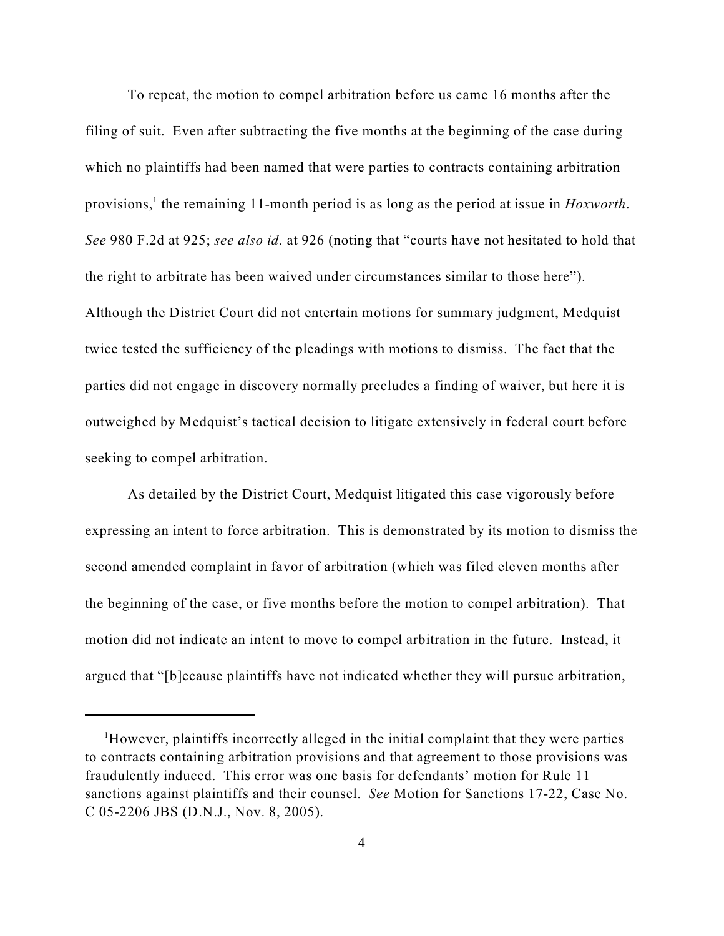To repeat, the motion to compel arbitration before us came 16 months after the filing of suit. Even after subtracting the five months at the beginning of the case during which no plaintiffs had been named that were parties to contracts containing arbitration provisions,<sup>1</sup> the remaining 11-month period is as long as the period at issue in *Hoxworth*. *See* 980 F.2d at 925; *see also id.* at 926 (noting that "courts have not hesitated to hold that the right to arbitrate has been waived under circumstances similar to those here"). Although the District Court did not entertain motions for summary judgment, Medquist twice tested the sufficiency of the pleadings with motions to dismiss. The fact that the parties did not engage in discovery normally precludes a finding of waiver, but here it is outweighed by Medquist's tactical decision to litigate extensively in federal court before seeking to compel arbitration.

As detailed by the District Court, Medquist litigated this case vigorously before expressing an intent to force arbitration. This is demonstrated by its motion to dismiss the second amended complaint in favor of arbitration (which was filed eleven months after the beginning of the case, or five months before the motion to compel arbitration). That motion did not indicate an intent to move to compel arbitration in the future. Instead, it argued that "[b]ecause plaintiffs have not indicated whether they will pursue arbitration,

<sup>&</sup>lt;sup>1</sup>However, plaintiffs incorrectly alleged in the initial complaint that they were parties to contracts containing arbitration provisions and that agreement to those provisions was fraudulently induced. This error was one basis for defendants' motion for Rule 11 sanctions against plaintiffs and their counsel. *See* Motion for Sanctions 17-22, Case No. C 05-2206 JBS (D.N.J., Nov. 8, 2005).